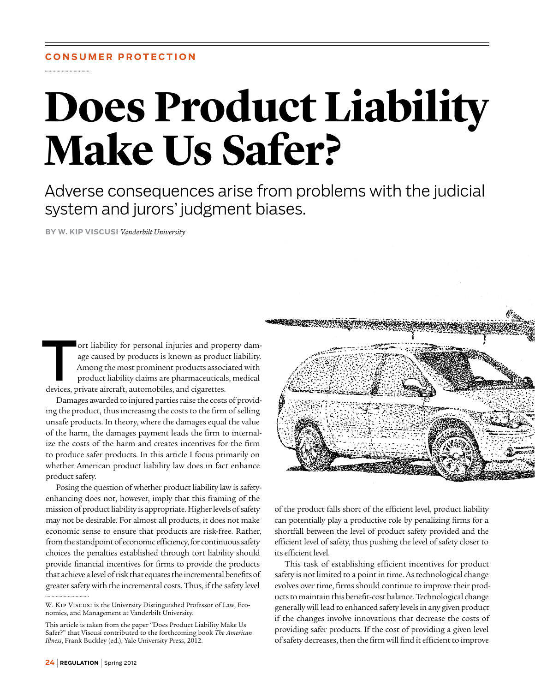# **Does Product Liability Make Us Safer?**

Adverse consequences arise from problems with the judicial system and jurors' judgment biases.

**By W. Kip Viscusi** *Vanderbilt University*

ort liability for personal injuries and property dam-<br>age caused by products is known as product liability.<br>Among the most prominent products associated with<br>product liability claims are pharmaceuticals, medical<br>devices pr age caused by products is known as product liability. Among the most prominent products associated with product liability claims are pharmaceuticals, medical devices, private aircraft, automobiles, and cigarettes.

Damages awarded to injured parties raise the costs of providing the product, thus increasing the costs to the firm of selling unsafe products. In theory, where the damages equal the value of the harm, the damages payment leads the firm to internalize the costs of the harm and creates incentives for the firm to produce safer products. In this article I focus primarily on whether American product liability law does in fact enhance product safety.

Posing the question of whether product liability law is safetyenhancing does not, however, imply that this framing of the mission of product liability is appropriate. Higher levels of safety may not be desirable. For almost all products, it does not make economic sense to ensure that products are risk-free. Rather, from the standpoint of economic efficiency, for continuous safety choices the penalties established through tort liability should provide financial incentives for firms to provide the products that achieve a level of risk that equates the incremental benefits of greater safety with the incremental costs. Thus, if the safety level



of the product falls short of the efficient level, product liability can potentially play a productive role by penalizing firms for a shortfall between the level of product safety provided and the efficient level of safety, thus pushing the level of safety closer to its efficient level.

This task of establishing efficient incentives for product safety is not limited to a point in time. As technological change evolves over time, firms should continue to improve their products to maintain this benefit-cost balance. Technological change generally will lead to enhanced safety levels in any given product if the changes involve innovations that decrease the costs of providing safer products. If the cost of providing a given level of safety decreases, then the firm will find it efficient to improve

W. Kip Viscusi is the University Distinguished Professor of Law, Economics, and Management at Vanderbilt University.

This article is taken from the paper "Does Product Liability Make Us Safer?" that Viscusi contributed to the forthcoming book *The American Illness*, Frank Buckley (ed.), Yale University Press, 2012.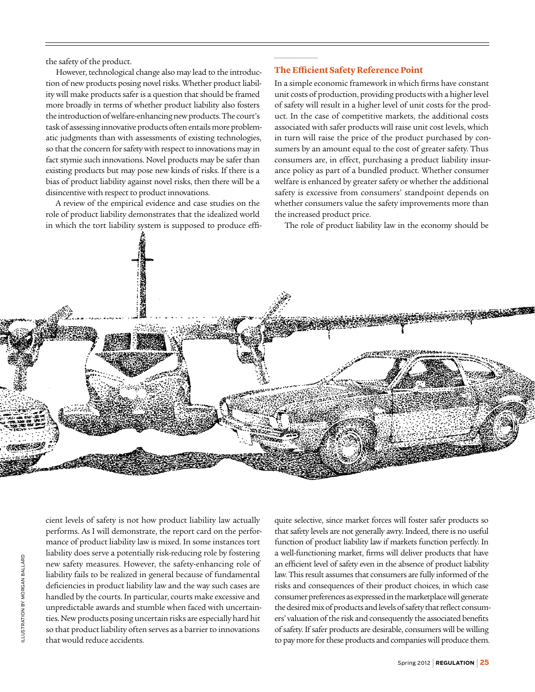the safety of the product.

However, technological change also may lead to the introduction of new products posing novel risks. Whether product liability will make products safer is a question that should be framed more broadly in terms of whether product liability also fosters the introduction of welfare-enhancing new products. The court's task of assessing innovative products often entails more problematic judgments than with assessments of existing technologies, so that the concern for safety with respect to innovations may in fact stymie such innovations. Novel products may be safer than existing products but may pose new kinds of risks. If there is a bias of product liability against novel risks, then there will be a disincentive with respect to product innovations.

A review of the empirical evidence and case studies on the role of product liability demonstrates that the idealized world in which the tort liability system is supposed to produce effi-

# **The Efficient Safety Reference Point**

In a simple economic framework in which firms have constant unit costs of production, providing products with a higher level of safety will result in a higher level of unit costs for the product. In the case of competitive markets, the additional costs associated with safer products will raise unit cost levels, which in turn will raise the price of the product purchased by consumers by an amount equal to the cost of greater safety. Thus consumers are, in effect, purchasing a product liability insurance policy as part of a bundled product. Whether consumer welfare is enhanced by greater safety or whether the additional safety is excessive from consumers' standpoint depends on whether consumers value the safety improvements more than the increased product price.

The role of product liability law in the economy should be



cient levels of safety is not how product liability law actually performs. As I will demonstrate, the report card on the performance of product liability law is mixed. In some instances tort liability does serve a potentially risk-reducing role by fostering new safety measures. However, the safety-enhancing role of liability fails to be realized in general because of fundamental deficiencies in product liability law and the way such cases are handled by the courts. In particular, courts make excessive and unpredictable awards and stumble when faced with uncertainties. New products posing uncertain risks are especially hard hit so that product liability often serves as a barrier to innovations that would reduce accidents.

quite selective, since market forces will foster safer products so that safety levels are not generally awry. Indeed, there is no useful function of product liability law if markets function perfectly. In a well-functioning market, firms will deliver products that have an efficient level of safety even in the absence of product liability law. This result assumes that consumers are fully informed of the risks and consequences of their product choices, in which case consumer preferences as expressed in the marketplace will generate the desired mix of products and levels of safety that reflect consumers' valuation of the risk and consequently the associated benefits of safety. If safer products are desirable, consumers will be willing to pay more for these products and companies will produce them.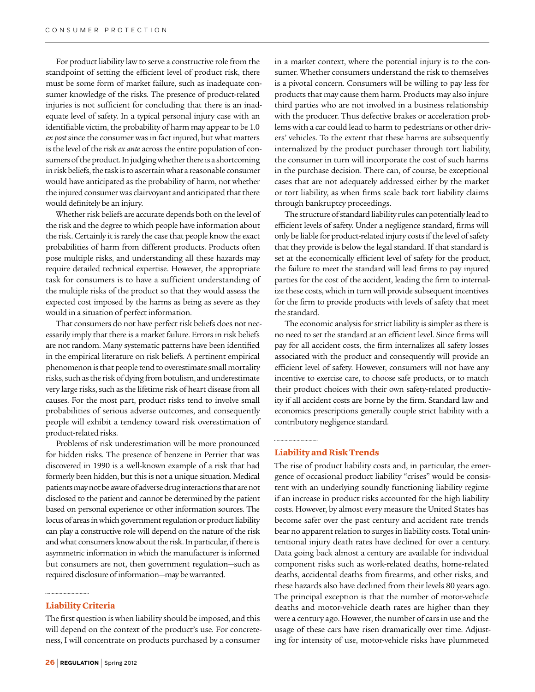For product liability law to serve a constructive role from the standpoint of setting the efficient level of product risk, there must be some form of market failure, such as inadequate consumer knowledge of the risks. The presence of product-related injuries is not sufficient for concluding that there is an inadequate level of safety. In a typical personal injury case with an identifiable victim, the probability of harm may appear to be 1.0 *ex post* since the consumer was in fact injured, but what matters is the level of the risk *ex ante* across the entire population of consumers of the product. In judging whether there is a shortcoming in risk beliefs, the task is to ascertain what a reasonable consumer would have anticipated as the probability of harm, not whether the injured consumer was clairvoyant and anticipated that there would definitely be an injury.

Whether risk beliefs are accurate depends both on the level of the risk and the degree to which people have information about the risk. Certainly it is rarely the case that people know the exact probabilities of harm from different products. Products often pose multiple risks, and understanding all these hazards may require detailed technical expertise. However, the appropriate task for consumers is to have a sufficient understanding of the multiple risks of the product so that they would assess the expected cost imposed by the harms as being as severe as they would in a situation of perfect information.

That consumers do not have perfect risk beliefs does not necessarily imply that there is a market failure. Errors in risk beliefs are not random. Many systematic patterns have been identified in the empirical literature on risk beliefs. A pertinent empirical phenomenon is that people tend to overestimate small mortality risks, such as the risk of dying from botulism, and underestimate very large risks, such as the lifetime risk of heart disease from all causes. For the most part, product risks tend to involve small probabilities of serious adverse outcomes, and consequently people will exhibit a tendency toward risk overestimation of product-related risks.

Problems of risk underestimation will be more pronounced for hidden risks. The presence of benzene in Perrier that was discovered in 1990 is a well-known example of a risk that had formerly been hidden, but this is not a unique situation. Medical patients may not be aware of adverse drug interactions that are not disclosed to the patient and cannot be determined by the patient based on personal experience or other information sources. The locus of areas in which government regulation or product liability can play a constructive role will depend on the nature of the risk and what consumers know about the risk. In particular, if there is asymmetric information in which the manufacturer is informed but consumers are not, then government regulation—such as required disclosure of information—may be warranted.

### **Liability Criteria**

............................

The first question is when liability should be imposed, and this will depend on the context of the product's use. For concreteness, I will concentrate on products purchased by a consumer

in a market context, where the potential injury is to the consumer. Whether consumers understand the risk to themselves is a pivotal concern. Consumers will be willing to pay less for products that may cause them harm. Products may also injure third parties who are not involved in a business relationship with the producer. Thus defective brakes or acceleration problems with a car could lead to harm to pedestrians or other drivers' vehicles. To the extent that these harms are subsequently internalized by the product purchaser through tort liability, the consumer in turn will incorporate the cost of such harms in the purchase decision. There can, of course, be exceptional cases that are not adequately addressed either by the market or tort liability, as when firms scale back tort liability claims through bankruptcy proceedings.

The structure of standard liability rules can potentially lead to efficient levels of safety. Under a negligence standard, firms will only be liable for product-related injury costs if the level of safety that they provide is below the legal standard. If that standard is set at the economically efficient level of safety for the product, the failure to meet the standard will lead firms to pay injured parties for the cost of the accident, leading the firm to internalize these costs, which in turn will provide subsequent incentives for the firm to provide products with levels of safety that meet the standard.

The economic analysis for strict liability is simpler as there is no need to set the standard at an efficient level. Since firms will pay for all accident costs, the firm internalizes all safety losses associated with the product and consequently will provide an efficient level of safety. However, consumers will not have any incentive to exercise care, to choose safe products, or to match their product choices with their own safety-related productivity if all accident costs are borne by the firm. Standard law and economics prescriptions generally couple strict liability with a contributory negligence standard.

# **Liability and Risk Trends**

The rise of product liability costs and, in particular, the emergence of occasional product liability "crises" would be consistent with an underlying soundly functioning liability regime if an increase in product risks accounted for the high liability costs. However, by almost every measure the United States has become safer over the past century and accident rate trends bear no apparent relation to surges in liability costs. Total unintentional injury death rates have declined for over a century. Data going back almost a century are available for individual component risks such as work-related deaths, home-related deaths, accidental deaths from firearms, and other risks, and these hazards also have declined from their levels 80 years ago. The principal exception is that the number of motor-vehicle deaths and motor-vehicle death rates are higher than they were a century ago. However, the number of cars in use and the usage of these cars have risen dramatically over time. Adjusting for intensity of use, motor-vehicle risks have plummeted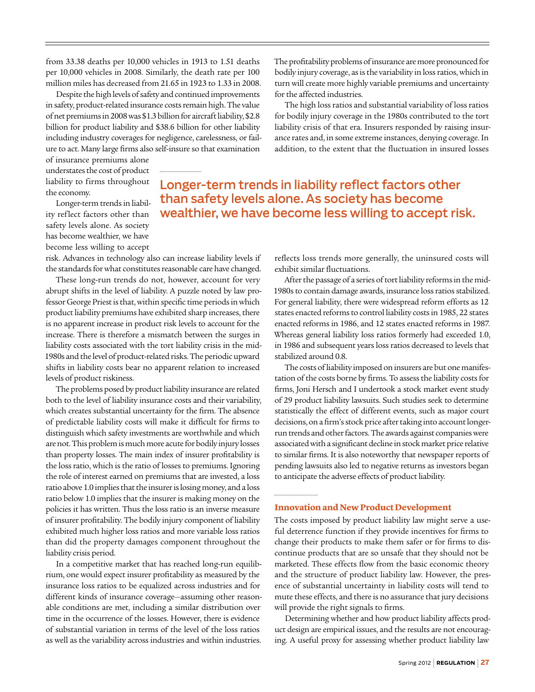from 33.38 deaths per 10,000 vehicles in 1913 to 1.51 deaths per 10,000 vehicles in 2008. Similarly, the death rate per 100 million miles has decreased from 21.65 in 1923 to 1.33 in 2008.

Despite the high levels of safety and continued improvements in safety, product-related insurance costs remain high. The value of net premiums in 2008 was \$1.3 billion for aircraft liability, \$2.8 billion for product liability and \$38.6 billion for other liability including industry coverages for negligence, carelessness, or failure to act. Many large firms also self-insure so that examination

of insurance premiums alone understates the cost of product liability to firms throughout the economy.

Longer-term trends in liability reflect factors other than safety levels alone. As society has become wealthier, we have become less willing to accept

risk. Advances in technology also can increase liability levels if the standards for what constitutes reasonable care have changed.

These long-run trends do not, however, account for very abrupt shifts in the level of liability. A puzzle noted by law professor George Priest is that, within specific time periods in which product liability premiums have exhibited sharp increases, there is no apparent increase in product risk levels to account for the increase. There is therefore a mismatch between the surges in liability costs associated with the tort liability crisis in the mid-1980s and the level of product-related risks. The periodic upward shifts in liability costs bear no apparent relation to increased levels of product riskiness.

The problems posed by product liability insurance are related both to the level of liability insurance costs and their variability, which creates substantial uncertainty for the firm. The absence of predictable liability costs will make it difficult for firms to distinguish which safety investments are worthwhile and which are not. This problem is much more acute for bodily injury losses than property losses. The main index of insurer profitability is the loss ratio, which is the ratio of losses to premiums. Ignoring the role of interest earned on premiums that are invested, a loss ratio above 1.0 implies that the insurer is losing money, and a loss ratio below 1.0 implies that the insurer is making money on the policies it has written. Thus the loss ratio is an inverse measure of insurer profitability. The bodily injury component of liability exhibited much higher loss ratios and more variable loss ratios than did the property damages component throughout the liability crisis period.

In a competitive market that has reached long-run equilibrium, one would expect insurer profitability as measured by the insurance loss ratios to be equalized across industries and for different kinds of insurance coverage—assuming other reasonable conditions are met, including a similar distribution over time in the occurrence of the losses. However, there is evidence of substantial variation in terms of the level of the loss ratios as well as the variability across industries and within industries.

The profitability problems of insurance are more pronounced for bodily injury coverage, as is the variability in loss ratios, which in turn will create more highly variable premiums and uncertainty for the affected industries.

The high loss ratios and substantial variability of loss ratios for bodily injury coverage in the 1980s contributed to the tort liability crisis of that era. Insurers responded by raising insurance rates and, in some extreme instances, denying coverage. In addition, to the extent that the fluctuation in insured losses

# Longer-term trends in liability reflect factors other than safety levels alone. As society has become wealthier, we have become less willing to accept risk.

reflects loss trends more generally, the uninsured costs will exhibit similar fluctuations.

After the passage of a series of tort liability reforms in the mid-1980s to contain damage awards, insurance loss ratios stabilized. For general liability, there were widespread reform efforts as 12 states enacted reforms to control liability costs in 1985, 22 states enacted reforms in 1986, and 12 states enacted reforms in 1987. Whereas general liability loss ratios formerly had exceeded 1.0, in 1986 and subsequent years loss ratios decreased to levels that stabilized around 0.8.

The costs of liability imposed on insurers are but one manifestation of the costs borne by firms. To assess the liability costs for firms, Joni Hersch and I undertook a stock market event study of 29 product liability lawsuits. Such studies seek to determine statistically the effect of different events, such as major court decisions, on a firm's stock price after taking into account longerrun trends and other factors. The awards against companies were associated with a significant decline in stock market price relative to similar firms. It is also noteworthy that newspaper reports of pending lawsuits also led to negative returns as investors began to anticipate the adverse effects of product liability.

# **Innovation and New Product Development**

The costs imposed by product liability law might serve a useful deterrence function if they provide incentives for firms to change their products to make them safer or for firms to discontinue products that are so unsafe that they should not be marketed. These effects flow from the basic economic theory and the structure of product liability law. However, the presence of substantial uncertainty in liability costs will tend to mute these effects, and there is no assurance that jury decisions will provide the right signals to firms.

Determining whether and how product liability affects product design are empirical issues, and the results are not encouraging. A useful proxy for assessing whether product liability law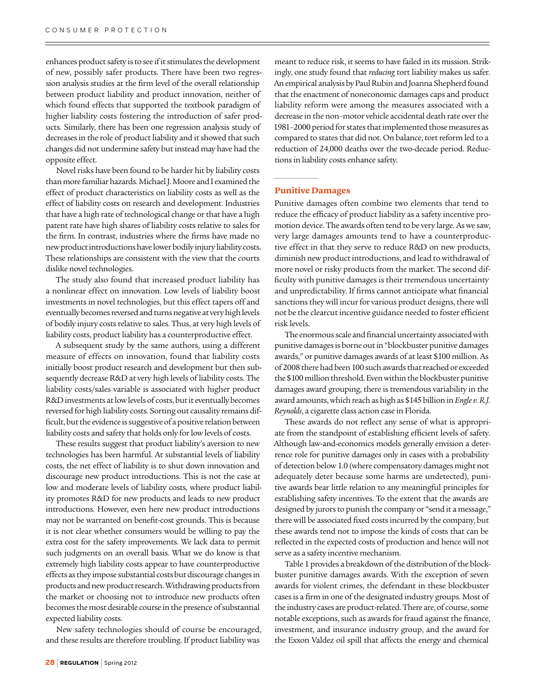enhances product safety is to see if it stimulates the development of new, possibly safer products. There have been two regression analysis studies at the firm level of the overall relationship between product liability and product innovation, neither of which found effects that supported the textbook paradigm of higher liability costs fostering the introduction of safer products. Similarly, there has been one regression analysis study of decreases in the role of product liability and it showed that such changes did not undermine safety but instead may have had the opposite effect.

Novel risks have been found to be harder hit by liability costs than more familiar hazards. Michael J. Moore and I examined the effect of product characteristics on liability costs as well as the effect of liability costs on research and development. Industries that have a high rate of technological change or that have a high patent rate have high shares of liability costs relative to sales for the firm. In contrast, industries where the firms have made no new product introductions have lower bodily injury liability costs. These relationships are consistent with the view that the courts dislike novel technologies.

The study also found that increased product liability has a nonlinear effect on innovation. Low levels of liability boost investments in novel technologies, but this effect tapers off and eventually becomes reversed and turns negative at very high levels of bodily injury costs relative to sales. Thus, at very high levels of liability costs, product liability has a counterproductive effect.

A subsequent study by the same authors, using a different measure of effects on innovation, found that liability costs initially boost product research and development but then subsequently decrease R&D at very high levels of liability costs. The liability costs/sales variable is associated with higher product R&D investments at low levels of costs, but it eventually becomes reversed for high liability costs. Sorting out causality remains difficult, but the evidence is suggestive of a positive relation between liability costs and safety that holds only for low levels of costs.

These results suggest that product liability's aversion to new technologies has been harmful. At substantial levels of liability costs, the net effect of liability is to shut down innovation and discourage new product introductions. This is not the case at low and moderate levels of liability costs, where product liability promotes R&D for new products and leads to new product introductions. However, even here new product introductions may not be warranted on benefit-cost grounds. This is because it is not clear whether consumers would be willing to pay the extra cost for the safety improvements. We lack data to permit such judgments on an overall basis. What we do know is that extremely high liability costs appear to have counterproductive effects as they impose substantial costs but discourage changes in products and new product research. Withdrawing products from the market or choosing not to introduce new products often becomes the most desirable course in the presence of substantial expected liability costs.

New safety technologies should of course be encouraged, and these results are therefore troubling. If product liability was

meant to reduce risk, it seems to have failed in its mission. Strikingly, one study found that *reducing* tort liability makes us safer. An empirical analysis by Paul Rubin and Joanna Shepherd found that the enactment of noneconomic damages caps and product liability reform were among the measures associated with a decrease in the non–motor vehicle accidental death rate over the 1981–2000 period for states that implemented those measures as compared to states that did not. On balance, tort reform led to a reduction of 24,000 deaths over the two-decade period. Reductions in liability costs enhance safety.

# **Punitive Damages**

Punitive damages often combine two elements that tend to reduce the efficacy of product liability as a safety incentive promotion device. The awards often tend to be very large. As we saw, very large damages amounts tend to have a counterproductive effect in that they serve to reduce R&D on new products, diminish new product introductions, and lead to withdrawal of more novel or risky products from the market. The second difficulty with punitive damages is their tremendous uncertainty and unpredictability. If firms cannot anticipate what financial sanctions they will incur for various product designs, there will not be the clearcut incentive guidance needed to foster efficient risk levels.

The enormous scale and financial uncertainty associated with punitive damages is borne out in "blockbuster punitive damages awards," or punitive damages awards of at least \$100 million. As of 2008 there had been 100 such awards that reached or exceeded the \$100 million threshold. Even within the blockbuster punitive damages award grouping, there is tremendous variability in the award amounts, which reach as high as \$145 billion in *Engle v. R.J. Reynolds*, a cigarette class action case in Florida.

These awards do not reflect any sense of what is appropriate from the standpoint of establishing efficient levels of safety. Although law-and-economics models generally envision a deterrence role for punitive damages only in cases with a probability of detection below 1.0 (where compensatory damages might not adequately deter because some harms are undetected), punitive awards bear little relation to any meaningful principles for establishing safety incentives. To the extent that the awards are designed by jurors to punish the company or "send it a message," there will be associated fixed costs incurred by the company, but these awards tend not to impose the kinds of costs that can be reflected in the expected costs of production and hence will not serve as a safety incentive mechanism.

Table 1 provides a breakdown of the distribution of the blockbuster punitive damages awards. With the exception of seven awards for violent crimes, the defendant in these blockbuster cases is a firm in one of the designated industry groups. Most of the industry cases are product-related. There are, of course, some notable exceptions, such as awards for fraud against the finance, investment, and insurance industry group, and the award for the Exxon Valdez oil spill that affects the energy and chemical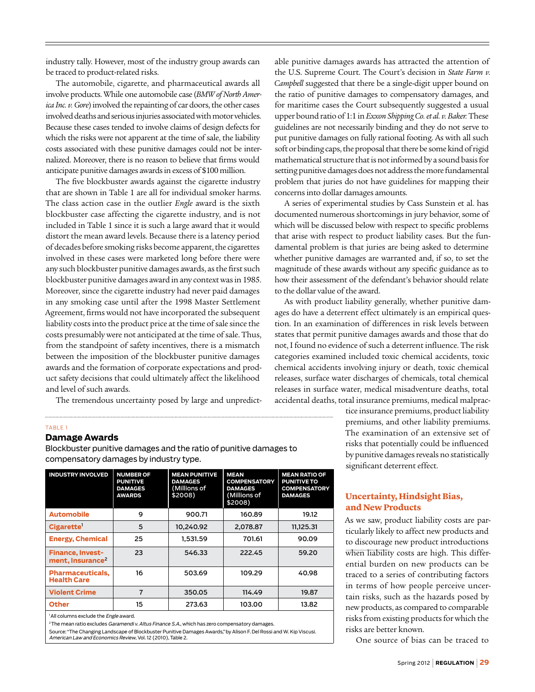industry tally. However, most of the industry group awards can be traced to product-related risks.

The automobile, cigarette, and pharmaceutical awards all involve products. While one automobile case (*BMW of North America Inc. v. Gore*) involved the repainting of car doors, the other cases involved deaths and serious injuries associated with motor vehicles. Because these cases tended to involve claims of design defects for which the risks were not apparent at the time of sale, the liability costs associated with these punitive damages could not be internalized. Moreover, there is no reason to believe that firms would anticipate punitive damages awards in excess of \$100 million.

The five blockbuster awards against the cigarette industry that are shown in Table 1 are all for individual smoker harms. The class action case in the outlier *Engle* award is the sixth blockbuster case affecting the cigarette industry, and is not included in Table 1 since it is such a large award that it would distort the mean award levels. Because there is a latency period of decades before smoking risks become apparent, the cigarettes involved in these cases were marketed long before there were any such blockbuster punitive damages awards, as the first such blockbuster punitive damages award in any context was in 1985. Moreover, since the cigarette industry had never paid damages in any smoking case until after the 1998 Master Settlement Agreement, firms would not have incorporated the subsequent liability costs into the product price at the time of sale since the costs presumably were not anticipated at the time of sale. Thus, from the standpoint of safety incentives, there is a mismatch between the imposition of the blockbuster punitive damages awards and the formation of corporate expectations and product safety decisions that could ultimately affect the likelihood and level of such awards.

The tremendous uncertainty posed by large and unpredict-

able punitive damages awards has attracted the attention of the U.S. Supreme Court. The Court's decision in *State Farm v. Campbell* suggested that there be a single-digit upper bound on the ratio of punitive damages to compensatory damages, and for maritime cases the Court subsequently suggested a usual upper bound ratio of 1:1 in *Exxon Shipping Co. et al. v. Baker.* These guidelines are not necessarily binding and they do not serve to put punitive damages on fully rational footing. As with all such soft or binding caps, the proposal that there be some kind of rigid mathematical structure that is not informed by a sound basis for setting punitive damages does not address the more fundamental problem that juries do not have guidelines for mapping their concerns into dollar damages amounts.

A series of experimental studies by Cass Sunstein et al. has documented numerous shortcomings in jury behavior, some of which will be discussed below with respect to specific problems that arise with respect to product liability cases. But the fundamental problem is that juries are being asked to determine whether punitive damages are warranted and, if so, to set the magnitude of these awards without any specific guidance as to how their assessment of the defendant's behavior should relate to the dollar value of the award.

As with product liability generally, whether punitive damages do have a deterrent effect ultimately is an empirical question. In an examination of differences in risk levels between states that permit punitive damages awards and those that do not, I found no evidence of such a deterrent influence. The risk categories examined included toxic chemical accidents, toxic chemical accidents involving injury or death, toxic chemical releases, surface water discharges of chemicals, total chemical releases in surface water, medical misadventure deaths, total accidental deaths, total insurance premiums, medical malprac-

> tice insurance premiums, product liability premiums, and other liability premiums. The examination of an extensive set of risks that potentially could be influenced by punitive damages reveals no statistically significant deterrent effect.

# **Uncertainty, Hindsight Bias, and New Products**

As we saw, product liability costs are particularly likely to affect new products and to discourage new product introductions when liability costs are high. This differential burden on new products can be traced to a series of contributing factors in terms of how people perceive uncertain risks, such as the hazards posed by new products, as compared to comparable risks from existing products for which the risks are better known.

One source of bias can be traced to

# **Damage Awards**

Blockbuster punitive damages and the ratio of punitive damages to compensatory damages by industry type.

| <b>INDUSTRY INVOLVED</b>                                | <b>NUMBER OF</b><br><b>PUNITIVE</b><br><b>DAMAGES</b><br><b>AWARDS</b> | <b>MEAN PUNITIVE</b><br><b>DAMAGES</b><br>(Millions of<br>\$2008) | <b>MEAN</b><br><b>COMPENSATORY</b><br><b>DAMAGES</b><br>(Millions of<br>\$2008) | <b>MEAN RATIO OF</b><br><b>PUNITIVE TO</b><br><b>COMPENSATORY</b><br><b>DAMAGES</b> |
|---------------------------------------------------------|------------------------------------------------------------------------|-------------------------------------------------------------------|---------------------------------------------------------------------------------|-------------------------------------------------------------------------------------|
| <b>Automobile</b>                                       | 9                                                                      | 900.71                                                            | 160.89                                                                          | 19.12                                                                               |
| <b>Cigarette</b>                                        | 5                                                                      | 10.240.92                                                         | 2.078.87                                                                        | 11.125.31                                                                           |
| <b>Energy, Chemical</b>                                 | 25                                                                     | 1.531.59                                                          | 701.61                                                                          | 90.09                                                                               |
| <b>Finance, Invest-</b><br>ment. Insurance <sup>2</sup> | 23                                                                     | 546.33                                                            | 222.45                                                                          | 59.20                                                                               |
| <b>Pharmaceuticals.</b><br><b>Health Care</b>           | 16                                                                     | 503.69                                                            | 109.29                                                                          | 40.98                                                                               |
| <b>Violent Crime</b>                                    | 7                                                                      | 350.05                                                            | 114.49                                                                          | 19.87                                                                               |
| <b>Other</b>                                            | 15                                                                     | 273.63                                                            | 103.00                                                                          | 13.82                                                                               |

All columns exclude the Engle award.

The mean ratio excludes *Garamendi v. Altus Finance S.A.*, which has zero compensatory damages.

Source: "The Changing Landscape of Blockbuster Punitive Damages Awards," by Alison F. Del Rossi and W. Kip Viscusi. American Law and Economics Review, Vol. 12 (2010), Table 2.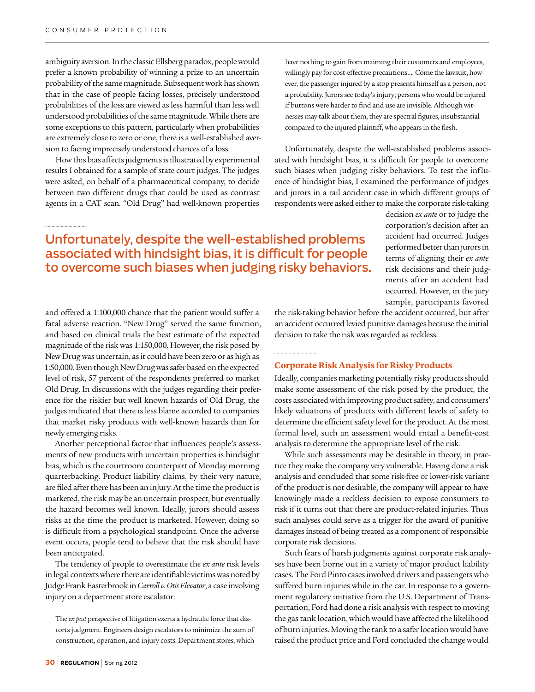ambiguity aversion. In the classic Ellsberg paradox, people would prefer a known probability of winning a prize to an uncertain probability of the same magnitude. Subsequent work has shown that in the case of people facing losses, precisely understood probabilities of the loss are viewed as less harmful than less well understood probabilities of the same magnitude. While there are some exceptions to this pattern, particularly when probabilities are extremely close to zero or one, there is a well-established aversion to facing imprecisely understood chances of a loss.

How this bias affects judgments is illustrated by experimental results I obtained for a sample of state court judges. The judges were asked, on behalf of a pharmaceutical company, to decide between two different drugs that could be used as contrast agents in a CAT scan. "Old Drug" had well-known properties

have nothing to gain from maiming their customers and employees, willingly pay for cost-effective precautions…. Come the lawsuit, however, the passenger injured by a stop presents himself as a person, not a probability. Jurors see today's injury; persons who would be injured if buttons were harder to find and use are invisible. Although witnesses may talk about them, they are spectral figures, insubstantial compared to the injured plaintiff, who appears in the flesh.

Unfortunately, despite the well-established problems associated with hindsight bias, it is difficult for people to overcome such biases when judging risky behaviors. To test the influence of hindsight bias, I examined the performance of judges and jurors in a rail accident case in which different groups of respondents were asked either to make the corporate risk-taking

# Unfortunately, despite the well-established problems associated with hindsight bias, it is difficult for people to overcome such biases when judging risky behaviors.

decision *ex ante* or to judge the corporation's decision after an accident had occurred. Judges performed better than jurors in terms of aligning their *ex ante* risk decisions and their judgments after an accident had occurred. However, in the jury sample, participants favored

and offered a 1:100,000 chance that the patient would suffer a fatal adverse reaction. "New Drug" served the same function, and based on clinical trials the best estimate of the expected magnitude of the risk was 1:150,000. However, the risk posed by New Drug was uncertain, as it could have been zero or as high as 1:50,000. Even though New Drug was safer based on the expected level of risk, 57 percent of the respondents preferred to market Old Drug. In discussions with the judges regarding their preference for the riskier but well known hazards of Old Drug, the judges indicated that there is less blame accorded to companies that market risky products with well-known hazards than for newly emerging risks.

Another perceptional factor that influences people's assessments of new products with uncertain properties is hindsight bias, which is the courtroom counterpart of Monday morning quarterbacking. Product liability claims, by their very nature, are filed after there has been an injury. At the time the product is marketed, the risk may be an uncertain prospect, but eventually the hazard becomes well known. Ideally, jurors should assess risks at the time the product is marketed. However, doing so is difficult from a psychological standpoint. Once the adverse event occurs, people tend to believe that the risk should have been anticipated.

The tendency of people to overestimate the *ex ante* risk levels in legal contexts where there are identifiable victims was noted by Judge Frank Easterbrook in *Carroll v. Otis Elevator*, a case involving injury on a department store escalator:

The *ex post* perspective of litigation exerts a hydraulic force that distorts judgment. Engineers design escalators to minimize the sum of construction, operation, and injury costs. Department stores, which the risk-taking behavior before the accident occurred, but after an accident occurred levied punitive damages because the initial decision to take the risk was regarded as reckless.

# **Corporate Risk Analysis for Risky Products**

Ideally, companies marketing potentially risky products should make some assessment of the risk posed by the product, the costs associated with improving product safety, and consumers' likely valuations of products with different levels of safety to determine the efficient safety level for the product. At the most formal level, such an assessment would entail a benefit-cost analysis to determine the appropriate level of the risk.

While such assessments may be desirable in theory, in practice they make the company very vulnerable. Having done a risk analysis and concluded that some risk-free or lower-risk variant of the product is not desirable, the company will appear to have knowingly made a reckless decision to expose consumers to risk if it turns out that there are product-related injuries. Thus such analyses could serve as a trigger for the award of punitive damages instead of being treated as a component of responsible corporate risk decisions.

Such fears of harsh judgments against corporate risk analyses have been borne out in a variety of major product liability cases. The Ford Pinto cases involved drivers and passengers who suffered burn injuries while in the car. In response to a government regulatory initiative from the U.S. Department of Transportation, Ford had done a risk analysis with respect to moving the gas tank location, which would have affected the likelihood of burn injuries. Moving the tank to a safer location would have raised the product price and Ford concluded the change would